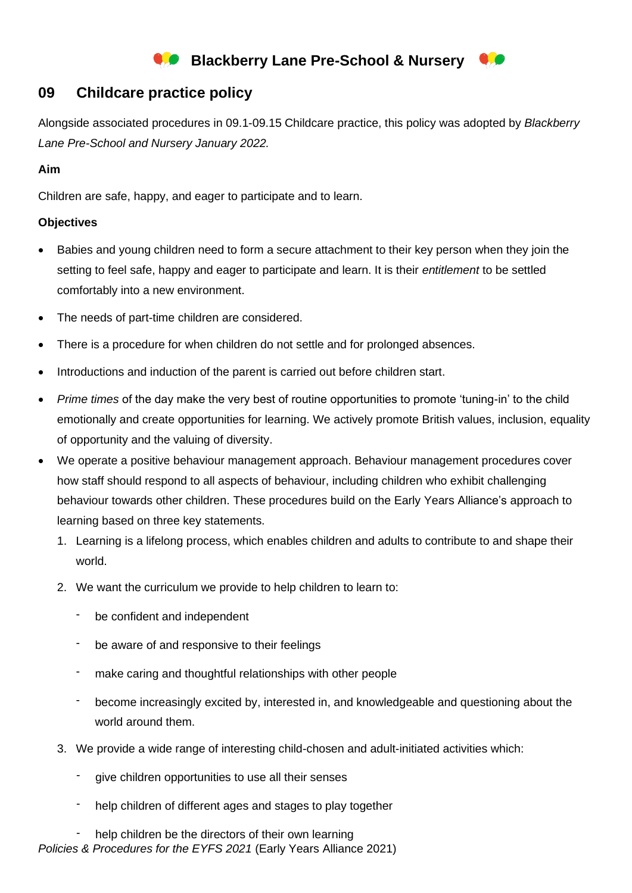# **Blackberry Lane Pre-School & Nursery**

# **09 Childcare practice policy**

Alongside associated procedures in 09.1-09.15 Childcare practice, this policy was adopted by *Blackberry Lane Pre-School and Nursery January 2022.*

# **Aim**

Children are safe, happy, and eager to participate and to learn.

## **Objectives**

- Babies and young children need to form a secure attachment to their key person when they join the setting to feel safe, happy and eager to participate and learn. It is their *entitlement* to be settled comfortably into a new environment.
- The needs of part-time children are considered.
- There is a procedure for when children do not settle and for prolonged absences.
- Introductions and induction of the parent is carried out before children start.
- *Prime times* of the day make the very best of routine opportunities to promote 'tuning-in' to the child emotionally and create opportunities for learning. We actively promote British values, inclusion, equality of opportunity and the valuing of diversity.
- We operate a positive behaviour management approach. Behaviour management procedures cover how staff should respond to all aspects of behaviour, including children who exhibit challenging behaviour towards other children. These procedures build on the Early Years Alliance's approach to learning based on three key statements.
	- 1. Learning is a lifelong process, which enables children and adults to contribute to and shape their world.
	- 2. We want the curriculum we provide to help children to learn to:
		- be confident and independent
		- be aware of and responsive to their feelings
		- make caring and thoughtful relationships with other people
		- become increasingly excited by, interested in, and knowledgeable and questioning about the world around them.
	- 3. We provide a wide range of interesting child-chosen and adult-initiated activities which:
		- give children opportunities to use all their senses
		- help children of different ages and stages to play together
	- help children be the directors of their own learning
- *Policies & Procedures for the EYFS 2021* (Early Years Alliance 2021)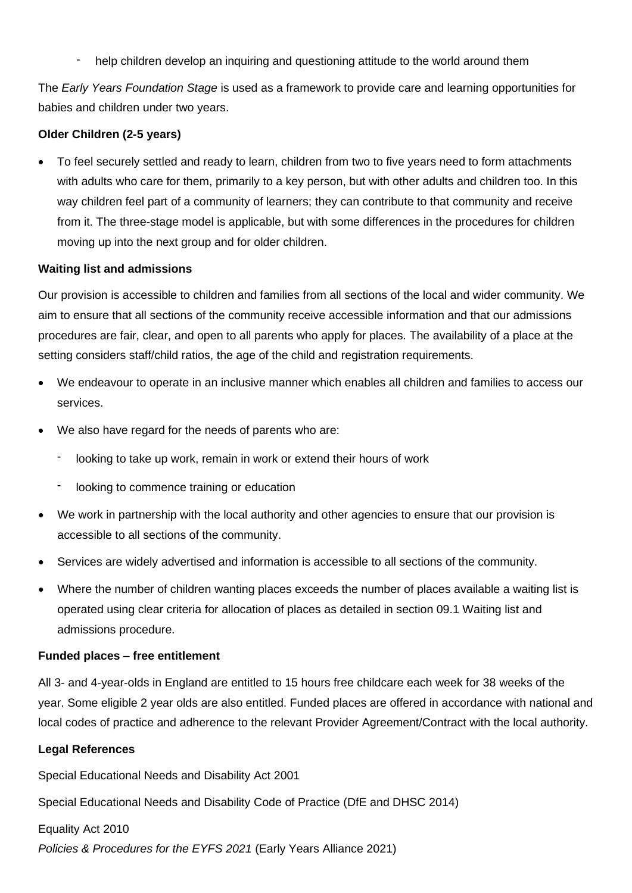help children develop an inquiring and questioning attitude to the world around them

The *Early Years Foundation Stage* is used as a framework to provide care and learning opportunities for babies and children under two years.

# **Older Children (2-5 years)**

• To feel securely settled and ready to learn, children from two to five years need to form attachments with adults who care for them, primarily to a key person, but with other adults and children too. In this way children feel part of a community of learners; they can contribute to that community and receive from it. The three-stage model is applicable, but with some differences in the procedures for children moving up into the next group and for older children.

#### **Waiting list and admissions**

Our provision is accessible to children and families from all sections of the local and wider community. We aim to ensure that all sections of the community receive accessible information and that our admissions procedures are fair, clear, and open to all parents who apply for places. The availability of a place at the setting considers staff/child ratios, the age of the child and registration requirements.

- We endeavour to operate in an inclusive manner which enables all children and families to access our services.
- We also have regard for the needs of parents who are:
	- looking to take up work, remain in work or extend their hours of work
	- looking to commence training or education
- We work in partnership with the local authority and other agencies to ensure that our provision is accessible to all sections of the community.
- Services are widely advertised and information is accessible to all sections of the community.
- Where the number of children wanting places exceeds the number of places available a waiting list is operated using clear criteria for allocation of places as detailed in section 09.1 Waiting list and admissions procedure.

#### **Funded places – free entitlement**

All 3- and 4-year-olds in England are entitled to 15 hours free childcare each week for 38 weeks of the year. Some eligible 2 year olds are also entitled. Funded places are offered in accordance with national and local codes of practice and adherence to the relevant Provider Agreement/Contract with the local authority.

#### **Legal References**

Special Educational Needs and Disability Act 2001

Special Educational Needs and Disability Code of Practice (DfE and DHSC 2014)

# Equality Act 2010

*Policies & Procedures for the EYFS 2021* (Early Years Alliance 2021)